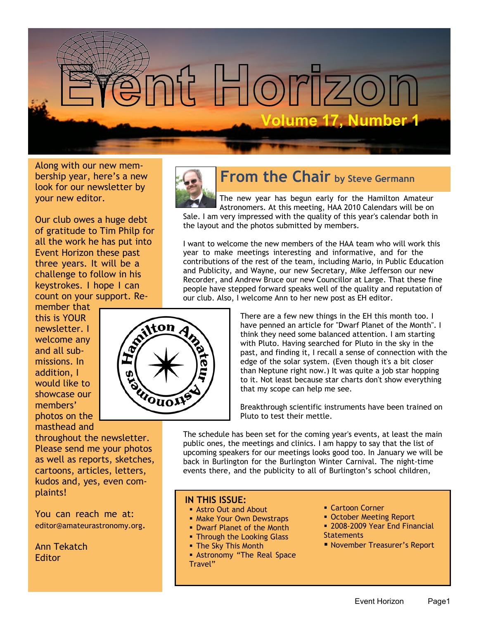

Along with our new membership year, here's a new look for our newsletter by your new editor.

Our club owes a huge debt of gratitude to Tim Philp for all the work he has put into Event Horizon these past three years. It will be a challenge to follow in his keystrokes. I hope I can count on your support. Re-

member that this is YOUR newsletter. I welcome any and all submissions. In addition, I would like to showcase our members' photos on the masthead and

throughout the newsletter. Please send me your photos as well as reports, sketches, cartoons, articles, letters, kudos and, yes, even complaints!

You can reach me at: editor@amateurastronomy.org.

Ann Tekatch **Editor** 



ton

WOUDI

## **From the Chair by Steve Germann**

The new year has begun early for the Hamilton Amateur Astronomers. At this meeting, HAA 2010 Calendars will be on Sale. I am very impressed with the quality of this year's calendar both in the layout and the photos submitted by members.

I want to welcome the new members of the HAA team who will work this year to make meetings interesting and informative, and for the contributions of the rest of the team, including Mario, in Public Education and Publicity, and Wayne, our new Secretary, Mike Jefferson our new Recorder, and Andrew Bruce our new Councillor at Large. That these fine people have stepped forward speaks well of the quality and reputation of our club. Also, I welcome Ann to her new post as EH editor.

> There are a few new things in the EH this month too. I have penned an article for "Dwarf Planet of the Month". I think they need some balanced attention. I am starting with Pluto. Having searched for Pluto in the sky in the past, and finding it, I recall a sense of connection with the edge of the solar system. (Even though it's a bit closer than Neptune right now.) It was quite a job star hopping to it. Not least because star charts don't show everything that my scope can help me see.

Breakthrough scientific instruments have been trained on Pluto to test their mettle.

The schedule has been set for the coming year's events, at least the main public ones, the meetings and clinics. I am happy to say that the list of upcoming speakers for our meetings looks good too. In January we will be back in Burlington for the Burlington Winter Carnival. The night-time events there, and the publicity to all of Burlington's school children,

#### **IN THIS ISSUE:**

- **Astro Out and About**
- Make Your Own Dewstraps
- Dwarf Planet of the Month
- Through the Looking Glass
- The Sky This Month
- **Astronomy "The Real Space"** Travel"
- **Cartoon Corner**
- **October Meeting Report**
- **B** 2008-2009 Year End Financial **Statements**
- November Treasurer's Report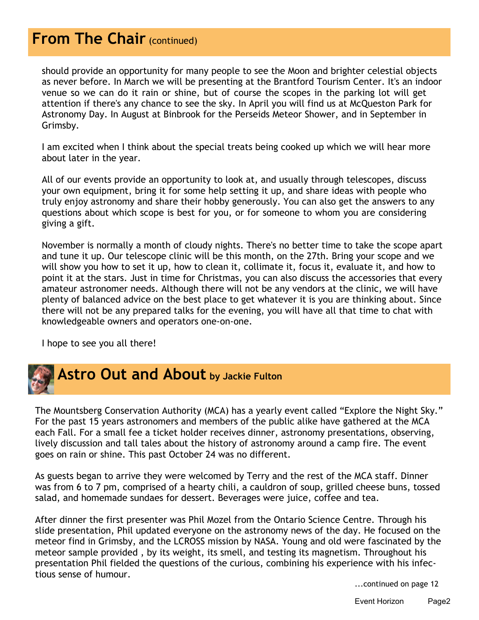# **From The Chair (continued)**

should provide an opportunity for many people to see the Moon and brighter celestial objects as never before. In March we will be presenting at the Brantford Tourism Center. It's an indoor venue so we can do it rain or shine, but of course the scopes in the parking lot will get attention if there's any chance to see the sky. In April you will find us at McQueston Park for Astronomy Day. In August at Binbrook for the Perseids Meteor Shower, and in September in Grimsby.

I am excited when I think about the special treats being cooked up which we will hear more about later in the year.

All of our events provide an opportunity to look at, and usually through telescopes, discuss your own equipment, bring it for some help setting it up, and share ideas with people who truly enjoy astronomy and share their hobby generously. You can also get the answers to any questions about which scope is best for you, or for someone to whom you are considering giving a gift.

November is normally a month of cloudy nights. There's no better time to take the scope apart and tune it up. Our telescope clinic will be this month, on the 27th. Bring your scope and we will show you how to set it up, how to clean it, collimate it, focus it, evaluate it, and how to point it at the stars. Just in time for Christmas, you can also discuss the accessories that every amateur astronomer needs. Although there will not be any vendors at the clinic, we will have plenty of balanced advice on the best place to get whatever it is you are thinking about. Since there will not be any prepared talks for the evening, you will have all that time to chat with knowledgeable owners and operators one-on-one.

I hope to see you all there!



The Mountsberg Conservation Authority (MCA) has a yearly event called "Explore the Night Sky." For the past 15 years astronomers and members of the public alike have gathered at the MCA each Fall. For a small fee a ticket holder receives dinner, astronomy presentations, observing, lively discussion and tall tales about the history of astronomy around a camp fire. The event goes on rain or shine. This past October 24 was no different.

As guests began to arrive they were welcomed by Terry and the rest of the MCA staff. Dinner was from 6 to 7 pm, comprised of a hearty chili, a cauldron of soup, grilled cheese buns, tossed salad, and homemade sundaes for dessert. Beverages were juice, coffee and tea.

After dinner the first presenter was Phil Mozel from the Ontario Science Centre. Through his slide presentation, Phil updated everyone on the astronomy news of the day. He focused on the meteor find in Grimsby, and the LCROSS mission by NASA. Young and old were fascinated by the meteor sample provided , by its weight, its smell, and testing its magnetism. Throughout his presentation Phil fielded the questions of the curious, combining his experience with his infectious sense of humour.

...continued on page 12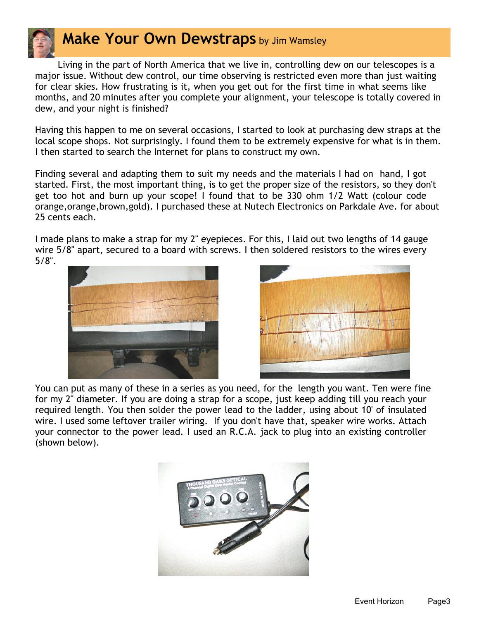

## **Make Your Own Dewstraps** by Jim Wamsley

Living in the part of North America that we live in, controlling dew on our telescopes is a major issue. Without dew control, our time observing is restricted even more than just waiting for clear skies. How frustrating is it, when you get out for the first time in what seems like months, and 20 minutes after you complete your alignment, your telescope is totally covered in dew, and your night is finished?

Having this happen to me on several occasions, I started to look at purchasing dew straps at the local scope shops. Not surprisingly. I found them to be extremely expensive for what is in them. I then started to search the Internet for plans to construct my own.

Finding several and adapting them to suit my needs and the materials I had on hand, I got started. First, the most important thing, is to get the proper size of the resistors, so they don't get too hot and burn up your scope! I found that to be 330 ohm 1/2 Watt (colour code orange,orange,brown,gold). I purchased these at Nutech Electronics on Parkdale Ave. for about 25 cents each.

I made plans to make a strap for my 2" eyepieces. For this, I laid out two lengths of 14 gauge wire 5/8" apart, secured to a board with screws. I then soldered resistors to the wires every 5/8".





You can put as many of these in a series as you need, for the length you want. Ten were fine for my 2" diameter. If you are doing a strap for a scope, just keep adding till you reach your required length. You then solder the power lead to the ladder, using about 10' of insulated wire. I used some leftover trailer wiring. If you don't have that, speaker wire works. Attach your connector to the power lead. I used an R.C.A. jack to plug into an existing controller (shown below).

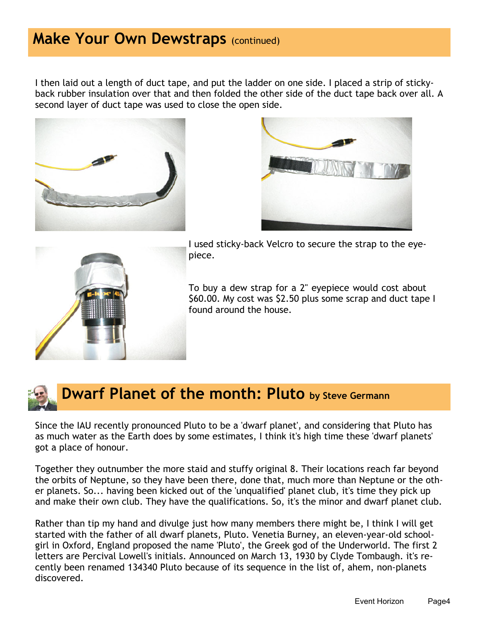### **Make Your Own Dewstraps (continued)**

I then laid out a length of duct tape, and put the ladder on one side. I placed a strip of stickyback rubber insulation over that and then folded the other side of the duct tape back over all. A second layer of duct tape was used to close the open side.







I used sticky-back Velcro to secure the strap to the eyepiece.

To buy a dew strap for a 2" eyepiece would cost about \$60.00. My cost was \$2.50 plus some scrap and duct tape I found around the house.



## **Dwarf Planet of the month: Pluto by Steve Germann**

Since the IAU recently pronounced Pluto to be a 'dwarf planet', and considering that Pluto has as much water as the Earth does by some estimates, I think it's high time these 'dwarf planets' got a place of honour.

Together they outnumber the more staid and stuffy original 8. Their locations reach far beyond the orbits of Neptune, so they have been there, done that, much more than Neptune or the other planets. So... having been kicked out of the 'unqualified' planet club, it's time they pick up and make their own club. They have the qualifications. So, it's the minor and dwarf planet club.

Rather than tip my hand and divulge just how many members there might be, I think I will get started with the father of all dwarf planets, Pluto. Venetia Burney, an eleven-year-old schoolgirl in Oxford, England proposed the name 'Pluto', the Greek god of the Underworld. The first 2 letters are Percival Lowell's initials. Announced on March 13, 1930 by Clyde Tombaugh. it's recently been renamed 134340 Pluto because of its sequence in the list of, ahem, non-planets discovered.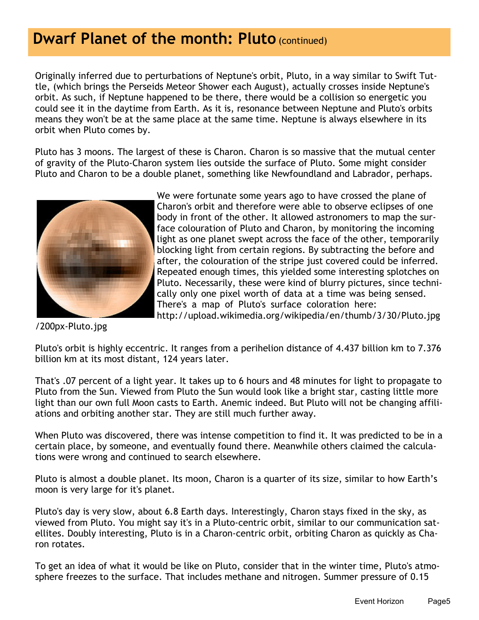## **Dwarf Planet of the month: Pluto (continued)**

Originally inferred due to perturbations of Neptune's orbit, Pluto, in a way similar to Swift Tuttle, (which brings the Perseids Meteor Shower each August), actually crosses inside Neptune's orbit. As such, if Neptune happened to be there, there would be a collision so energetic you could see it in the daytime from Earth. As it is, resonance between Neptune and Pluto's orbits means they won't be at the same place at the same time. Neptune is always elsewhere in its orbit when Pluto comes by.

Pluto has 3 moons. The largest of these is Charon. Charon is so massive that the mutual center of gravity of the Pluto-Charon system lies outside the surface of Pluto. Some might consider Pluto and Charon to be a double planet, something like Newfoundland and Labrador, perhaps.



We were fortunate some years ago to have crossed the plane of Charon's orbit and therefore were able to observe eclipses of one body in front of the other. It allowed astronomers to map the surface colouration of Pluto and Charon, by monitoring the incoming light as one planet swept across the face of the other, temporarily blocking light from certain regions. By subtracting the before and after, the colouration of the stripe just covered could be inferred. Repeated enough times, this yielded some interesting splotches on Pluto. Necessarily, these were kind of blurry pictures, since technically only one pixel worth of data at a time was being sensed. There's a map of Pluto's surface coloration here: http://upload.wikimedia.org/wikipedia/en/thumb/3/30/Pluto.jpg

/200px-Pluto.jpg

Pluto's orbit is highly eccentric. It ranges from a perihelion distance of 4.437 billion km to 7.376 billion km at its most distant, 124 years later.

That's .07 percent of a light year. It takes up to 6 hours and 48 minutes for light to propagate to Pluto from the Sun. Viewed from Pluto the Sun would look like a bright star, casting little more light than our own full Moon casts to Earth. Anemic indeed. But Pluto will not be changing affiliations and orbiting another star. They are still much further away.

When Pluto was discovered, there was intense competition to find it. It was predicted to be in a certain place, by someone, and eventually found there. Meanwhile others claimed the calculations were wrong and continued to search elsewhere.

Pluto is almost a double planet. Its moon, Charon is a quarter of its size, similar to how Earth's moon is very large for it's planet.

Pluto's day is very slow, about 6.8 Earth days. Interestingly, Charon stays fixed in the sky, as viewed from Pluto. You might say it's in a Pluto-centric orbit, similar to our communication satellites. Doubly interesting, Pluto is in a Charon-centric orbit, orbiting Charon as quickly as Charon rotates.

To get an idea of what it would be like on Pluto, consider that in the winter time, Pluto's atmosphere freezes to the surface. That includes methane and nitrogen. Summer pressure of 0.15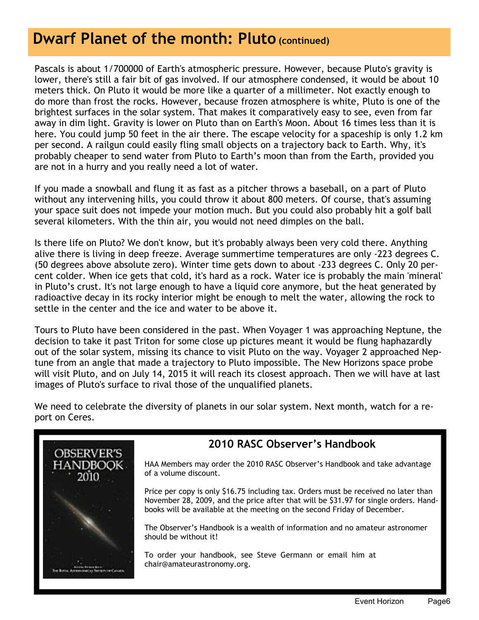## **Dwarf Planet of the month: Pluto (continued)**

Pascals is about 1/700000 of Earth's atmospheric pressure. However, because Pluto's gravity is lower, there's still a fair bit of gas involved. If our atmosphere condensed, it would be about 10 meters thick. On Pluto it would be more like a quarter of a millimeter. Not exactly enough to do more than frost the rocks. However, because frozen atmosphere is white, Pluto is one of the brightest surfaces in the solar system. That makes it comparatively easy to see, even from far away in dim light. Gravity is lower on Pluto than on Earth's Moon. About 16 times less than it is here. You could jump 50 feet in the air there. The escape velocity for a spaceship is only 1.2 km per second. A railgun could easily fling small objects on a trajectory back to Earth. Why, it's probably cheaper to send water from Pluto to Earth's moon than from the Earth, provided you are not in a hurry and you really need a lot of water.

If you made a snowball and flung it as fast as a pitcher throws a baseball, on a part of Pluto without any intervening hills, you could throw it about 800 meters. Of course, that's assuming your space suit does not impede your motion much. But you could also probably hit a golf ball several kilometers. With the thin air, you would not need dimples on the ball.

Is there life on Pluto? We don't know, but it's probably always been very cold there. Anything alive there is living in deep freeze. Average summertime temperatures are only -223 degrees C. (50 degrees above absolute zero). Winter time gets down to about -233 degrees C. Only 20 percent colder. When ice gets that cold, it's hard as a rock. Water ice is probably the main 'mineral' in Pluto's crust. It's not large enough to have a liquid core anymore, but the heat generated by radioactive decay in its rocky interior might be enough to melt the water, allowing the rock to settle in the center and the ice and water to be above it.

Tours to Pluto have been considered in the past. When Voyager 1 was approaching Neptune, the decision to take it past Triton for some close up pictures meant it would be flung haphazardly out of the solar system, missing its chance to visit Pluto on the way. Voyager 2 approached Neptune from an angle that made a trajectory to Pluto impossible. The New Horizons space probe will visit Pluto, and on July 14, 2015 it will reach its closest approach. Then we will have at last images of Pluto's surface to rival those of the unqualified planets.

We need to celebrate the diversity of planets in our solar system. Next month, watch for a report on Ceres.



#### **2010 RASC Observer's Handbook**

HAA Members may order the 2010 RASC Observer's Handbook and take advantage of a volume discount.

Price per copy is only \$16.75 including tax. Orders must be received no later than November 28, 2009, and the price after that will be \$31.97 for single orders. Handbooks will be available at the meeting on the second Friday of December.

The Observer's Handbook is a wealth of information and no amateur astronomer should be without it!

To order your handbook, see Steve Germann or email him at chair@amateurastronomy.org.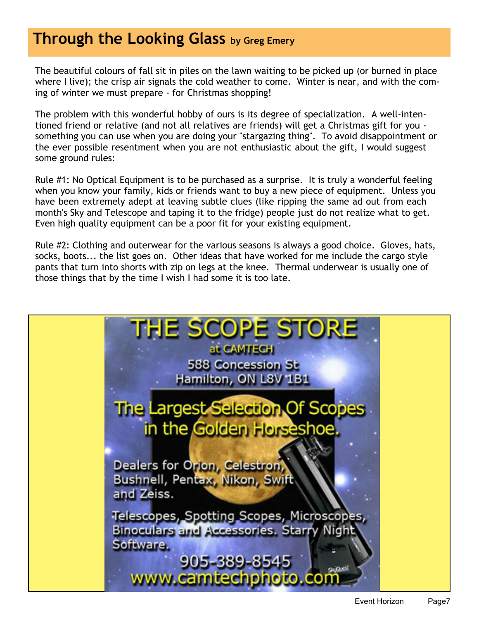## **Through the Looking Glass by Greg Emery**

The beautiful colours of fall sit in piles on the lawn waiting to be picked up (or burned in place where I live); the crisp air signals the cold weather to come. Winter is near, and with the coming of winter we must prepare - for Christmas shopping!

The problem with this wonderful hobby of ours is its degree of specialization. A well-intentioned friend or relative (and not all relatives are friends) will get a Christmas gift for you something you can use when you are doing your "stargazing thing". To avoid disappointment or the ever possible resentment when you are not enthusiastic about the gift, I would suggest some ground rules:

Rule #1: No Optical Equipment is to be purchased as a surprise. It is truly a wonderful feeling when you know your family, kids or friends want to buy a new piece of equipment. Unless you have been extremely adept at leaving subtle clues (like ripping the same ad out from each month's Sky and Telescope and taping it to the fridge) people just do not realize what to get. Even high quality equipment can be a poor fit for your existing equipment.

Rule #2: Clothing and outerwear for the various seasons is always a good choice. Gloves, hats, socks, boots... the list goes on. Other ideas that have worked for me include the cargo style pants that turn into shorts with zip on legs at the knee. Thermal underwear is usually one of those things that by the time I wish I had some it is too late.

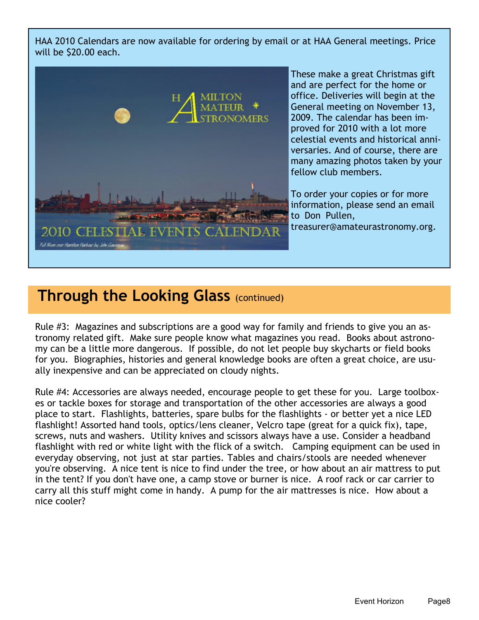HAA 2010 Calendars are now available for ordering by email or at HAA General meetings. Price will be \$20.00 each.



These make a great Christmas gift and are perfect for the home or office. Deliveries will begin at the General meeting on November 13, 2009. The calendar has been improved for 2010 with a lot more celestial events and historical anniversaries. And of course, there are many amazing photos taken by your fellow club members.

To order your copies or for more information, please send an email to Don Pullen, treasurer@amateurastronomy.org.

#### **Through the Looking Glass (continued)**

Rule #3: Magazines and subscriptions are a good way for family and friends to give you an astronomy related gift. Make sure people know what magazines you read. Books about astronomy can be a little more dangerous. If possible, do not let people buy skycharts or field books for you. Biographies, histories and general knowledge books are often a great choice, are usually inexpensive and can be appreciated on cloudy nights.

Rule #4: Accessories are always needed, encourage people to get these for you. Large toolboxes or tackle boxes for storage and transportation of the other accessories are always a good place to start. Flashlights, batteries, spare bulbs for the flashlights - or better yet a nice LED flashlight! Assorted hand tools, optics/lens cleaner, Velcro tape (great for a quick fix), tape, screws, nuts and washers. Utility knives and scissors always have a use. Consider a headband flashlight with red or white light with the flick of a switch. Camping equipment can be used in everyday observing, not just at star parties. Tables and chairs/stools are needed whenever you're observing. A nice tent is nice to find under the tree, or how about an air mattress to put in the tent? If you don't have one, a camp stove or burner is nice. A roof rack or car carrier to carry all this stuff might come in handy. A pump for the air mattresses is nice. How about a nice cooler?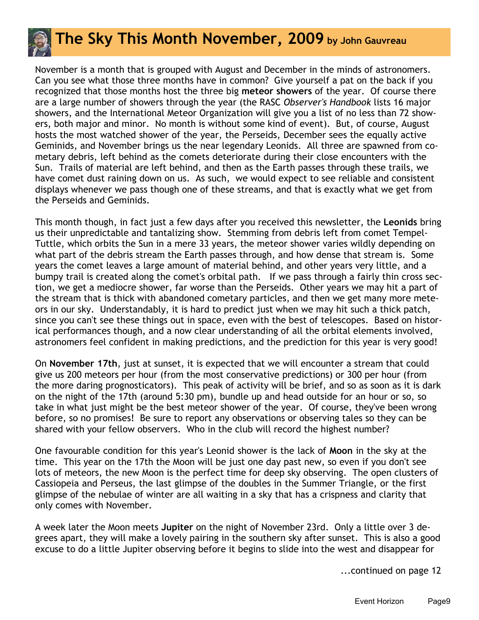

November is a month that is grouped with August and December in the minds of astronomers. Can you see what those three months have in common? Give yourself a pat on the back if you recognized that those months host the three big **meteor showers** of the year. Of course there are a large number of showers through the year (the RASC *Observer's Handbook* lists 16 major showers, and the International Meteor Organization will give you a list of no less than 72 showers, both major and minor. No month is without some kind of event). But, of course, August hosts the most watched shower of the year, the Perseids, December sees the equally active Geminids, and November brings us the near legendary Leonids. All three are spawned from cometary debris, left behind as the comets deteriorate during their close encounters with the Sun. Trails of material are left behind, and then as the Earth passes through these trails, we have comet dust raining down on us. As such, we would expect to see reliable and consistent displays whenever we pass though one of these streams, and that is exactly what we get from the Perseids and Geminids.

This month though, in fact just a few days after you received this newsletter, the **Leonids** bring us their unpredictable and tantalizing show. Stemming from debris left from comet Tempel-Tuttle, which orbits the Sun in a mere 33 years, the meteor shower varies wildly depending on what part of the debris stream the Earth passes through, and how dense that stream is. Some years the comet leaves a large amount of material behind, and other years very little, and a bumpy trail is created along the comet's orbital path. If we pass through a fairly thin cross section, we get a mediocre shower, far worse than the Perseids. Other years we may hit a part of the stream that is thick with abandoned cometary particles, and then we get many more meteors in our sky. Understandably, it is hard to predict just when we may hit such a thick patch, since you can't see these things out in space, even with the best of telescopes. Based on historical performances though, and a now clear understanding of all the orbital elements involved, astronomers feel confident in making predictions, and the prediction for this year is very good!

On **November 17th**, just at sunset, it is expected that we will encounter a stream that could give us 200 meteors per hour (from the most conservative predictions) or 300 per hour (from the more daring prognosticators). This peak of activity will be brief, and so as soon as it is dark on the night of the 17th (around 5:30 pm), bundle up and head outside for an hour or so, so take in what just might be the best meteor shower of the year. Of course, they've been wrong before, so no promises! Be sure to report any observations or observing tales so they can be shared with your fellow observers. Who in the club will record the highest number?

One favourable condition for this year's Leonid shower is the lack of **Moon** in the sky at the time. This year on the 17th the Moon will be just one day past new, so even if you don't see lots of meteors, the new Moon is the perfect time for deep sky observing. The open clusters of Cassiopeia and Perseus, the last glimpse of the doubles in the Summer Triangle, or the first glimpse of the nebulae of winter are all waiting in a sky that has a crispness and clarity that only comes with November.

A week later the Moon meets **Jupiter** on the night of November 23rd. Only a little over 3 degrees apart, they will make a lovely pairing in the southern sky after sunset. This is also a good excuse to do a little Jupiter observing before it begins to slide into the west and disappear for

...continued on page 12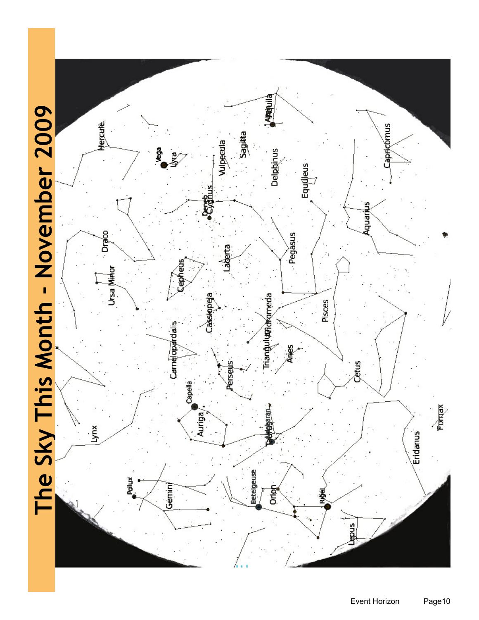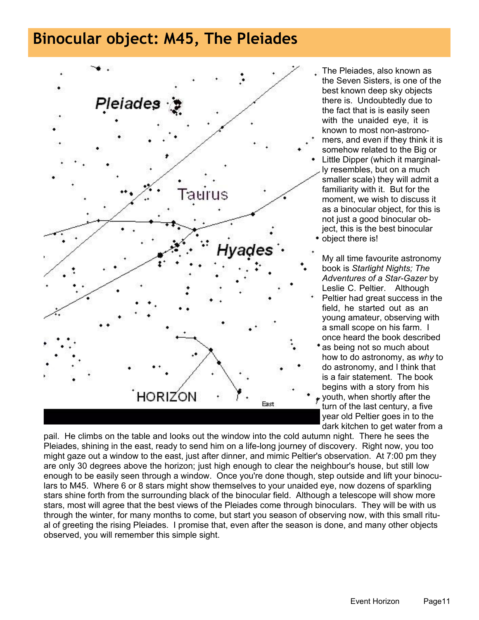## **Binocular object: M45, The Pleiades**



- The Pleiades, also known as the Seven Sisters, is one of the best known deep sky objects there is. Undoubtedly due to the fact that is is easily seen with the unaided eye, it is known to most non-astrono-
- mers, and even if they think it is somehow related to the Big or
- Little Dipper (which it marginally resembles, but on a much smaller scale) they will admit a familiarity with it. But for the moment, we wish to discuss it as a binocular object, for this is not just a good binocular object, this is the best binocular object there is!
- My all time favourite astronomy book is *Starlight Nights; The Adventures of a Star-Gazer* by Leslie C. Peltier. Although Peltier had great success in the field, he started out as an young amateur, observing with a small scope on his farm. I once heard the book described
- \* as being not so much about how to do astronomy, as *why* to do astronomy, and I think that is a fair statement. The book begins with a story from his

 $\star$  youth, when shortly after the turn of the last century, a five year old Peltier goes in to the dark kitchen to get water from a

pail. He climbs on the table and looks out the window into the cold autumn night. There he sees the Pleiades, shining in the east, ready to send him on a life-long journey of discovery. Right now, you too might gaze out a window to the east, just after dinner, and mimic Peltier's observation. At 7:00 pm they are only 30 degrees above the horizon; just high enough to clear the neighbour's house, but still low enough to be easily seen through a window. Once you're done though, step outside and lift your binoculars to M45. Where 6 or 8 stars might show themselves to your unaided eye, now dozens of sparkling stars shine forth from the surrounding black of the binocular field. Although a telescope will show more stars, most will agree that the best views of the Pleiades come through binoculars. They will be with us through the winter, for many months to come, but start you season of observing now, with this small ritual of greeting the rising Pleiades. I promise that, even after the season is done, and many other objects observed, you will remember this simple sight.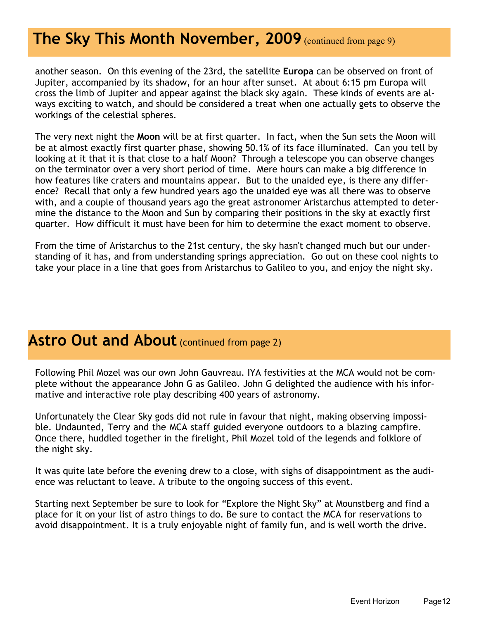#### **The Sky This Month November, 2009** (continued from page 9)

another season. On this evening of the 23rd, the satellite **Europa** can be observed on front of Jupiter, accompanied by its shadow, for an hour after sunset. At about 6:15 pm Europa will cross the limb of Jupiter and appear against the black sky again. These kinds of events are always exciting to watch, and should be considered a treat when one actually gets to observe the workings of the celestial spheres.

The very next night the **Moon** will be at first quarter. In fact, when the Sun sets the Moon will be at almost exactly first quarter phase, showing 50.1% of its face illuminated. Can you tell by looking at it that it is that close to a half Moon? Through a telescope you can observe changes on the terminator over a very short period of time. Mere hours can make a big difference in how features like craters and mountains appear. But to the unaided eye, is there any difference? Recall that only a few hundred years ago the unaided eye was all there was to observe with, and a couple of thousand years ago the great astronomer Aristarchus attempted to determine the distance to the Moon and Sun by comparing their positions in the sky at exactly first quarter. How difficult it must have been for him to determine the exact moment to observe.

From the time of Aristarchus to the 21st century, the sky hasn't changed much but our understanding of it has, and from understanding springs appreciation. Go out on these cool nights to take your place in a line that goes from Aristarchus to Galileo to you, and enjoy the night sky.

#### **Astro Out and About** (continued from page 2)

Following Phil Mozel was our own John Gauvreau. IYA festivities at the MCA would not be complete without the appearance John G as Galileo. John G delighted the audience with his informative and interactive role play describing 400 years of astronomy.

Unfortunately the Clear Sky gods did not rule in favour that night, making observing impossible. Undaunted, Terry and the MCA staff guided everyone outdoors to a blazing campfire. Once there, huddled together in the firelight, Phil Mozel told of the legends and folklore of the night sky.

It was quite late before the evening drew to a close, with sighs of disappointment as the audience was reluctant to leave. A tribute to the ongoing success of this event.

Starting next September be sure to look for "Explore the Night Sky" at Mounstberg and find a place for it on your list of astro things to do. Be sure to contact the MCA for reservations to avoid disappointment. It is a truly enjoyable night of family fun, and is well worth the drive.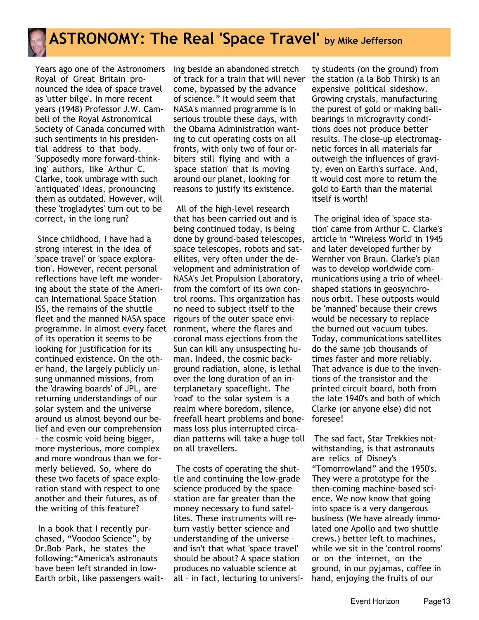

# **ASTRONOMY: The Real 'Space Travel' by Mike Jefferson**

Years ago one of the Astronomers Royal of Great Britain pronounced the idea of space travel as 'utter bilge'. In more recent years (1948) Professor J.W. Cambell of the Royal Astronomical Society of Canada concurred with such sentiments in his presidential address to that body. 'Supposedly more forward-thinking' authors, like Arthur C. Clarke, took umbrage with such 'antiquated' ideas, pronouncing them as outdated. However, will these 'trogladytes' turn out to be correct, in the long run?

 Since childhood, I have had a strong interest in the idea of 'space travel' or 'space exploration'. However, recent personal reflections have left me wondering about the state of the American International Space Station ISS, the remains of the shuttle fleet and the manned NASA space programme. In almost every facet of its operation it seems to be looking for justification for its continued existence. On the other hand, the largely publicly unsung unmanned missions, from the 'drawing boards' of JPL, are returning understandings of our solar system and the universe around us almost beyond our belief and even our comprehension - the cosmic void being bigger, more mysterious, more complex and more wondrous than we formerly believed. So, where do these two facets of space exploration stand with respect to one another and their futures, as of the writing of this feature?

 In a book that I recently purchased, "Voodoo Science", by Dr.Bob Park, he states the following:"America's astronauts have been left stranded in low-Earth orbit, like passengers waiting beside an abandoned stretch of track for a train that will never come, bypassed by the advance of science." It would seem that NASA's manned programme is in serious trouble these days, with the Obama Administration wanting to cut operating costs on all fronts, with only two of four orbiters still flying and with a 'space station' that is moving around our planet, looking for reasons to justify its existence.

 All of the high-level research that has been carried out and is being continued today, is being done by ground-based telescopes, space telescopes, robots and satellites, very often under the development and administration of NASA's Jet Propulsion Laboratory, from the comfort of its own control rooms. This organization has no need to subject itself to the rigours of the outer space environment, where the flares and coronal mass ejections from the Sun can kill any unsuspecting human. Indeed, the cosmic background radiation, alone, is lethal over the long duration of an interplanetary spaceflight. The 'road' to the solar system is a realm where boredom, silence, freefall heart problems and bonemass loss plus interrupted circadian patterns will take a huge toll on all travellers.

 The costs of operating the shuttle and continuing the low-grade science produced by the space station are far greater than the money necessary to fund satellites. These instruments will return vastly better science and understanding of the universe – and isn't that what 'space travel' should be about? A space station produces no valuable science at all – in fact, lecturing to universi-

ty students (on the ground) from the station (a la Bob Thirsk) is an expensive political sideshow. Growing crystals, manufacturing the purest of gold or making ballbearings in microgravity conditions does not produce better results. The close-up electromagnetic forces in all materials far outweigh the influences of gravity, even on Earth's surface. And, it would cost more to return the gold to Earth than the material itself is worth!

 The original idea of 'space station' came from Arthur C. Clarke's article in "Wireless World' in 1945 and later developed further by Wernher von Braun. Clarke's plan was to develop worldwide communications using a trio of wheelshaped stations in geosynchronous orbit. These outposts would be 'manned' because their crews would be necessary to replace the burned out vacuum tubes. Today, communications satellites do the same job thousands of times faster and more reliably. That advance is due to the inventions of the transistor and the printed circuit board, both from the late 1940's and both of which Clarke (or anyone else) did not foresee!

 The sad fact, Star Trekkies notwithstanding, is that astronauts are relics of Disney's "Tomorrowland" and the 1950's. They were a prototype for the then-coming machine-based science. We now know that going into space is a very dangerous business (We have already immolated one Apollo and two shuttle crews.) better left to machines, while we sit in the 'control rooms' or on the internet, on the ground, in our pyjamas, coffee in hand, enjoying the fruits of our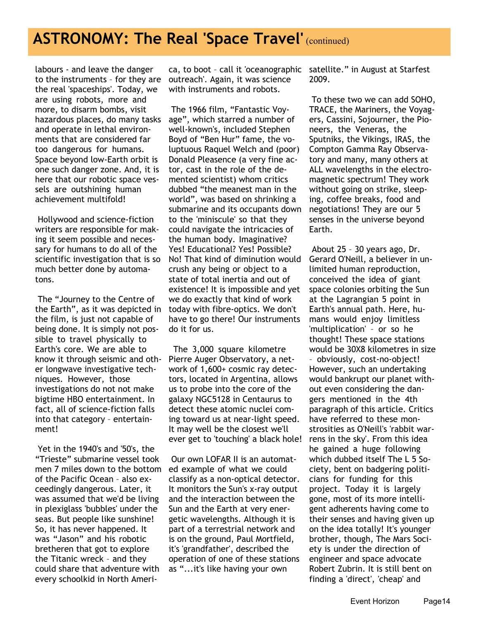### **ASTRONOMY: The Real 'Space Travel' (continued)**

labours - and leave the danger to the instruments – for they are the real 'spaceships'. Today, we are using robots, more and more, to disarm bombs, visit hazardous places, do many tasks and operate in lethal environments that are considered far too dangerous for humans. Space beyond low-Earth orbit is one such danger zone. And, it is here that our robotic space vessels are outshining human achievement multifold!

 Hollywood and science-fiction writers are responsible for making it seem possible and necessary for humans to do all of the scientific investigation that is so much better done by automatons.

 The "Journey to the Centre of the Earth", as it was depicted in the film, is just not capable of being done. It is simply not possible to travel physically to Earth's core. We are able to know it through seismic and other longwave investigative techniques. However, those investigations do not not make bigtime HBO entertainment. In fact, all of science-fiction falls into that category – entertainment!

 Yet in the 1940's and '50's, the "Trieste" submarine vessel took men 7 miles down to the bottom of the Pacific Ocean – also exceedingly dangerous. Later, it was assumed that we'd be living in plexiglass 'bubbles' under the seas. But people like sunshine! So, it has never happened. It was "Jason" and his robotic bretheren that got to explore the Titanic wreck – and they could share that adventure with every schoolkid in North Ameri-

ca, to boot – call it 'oceanographic outreach'. Again, it was science with instruments and robots.

 The 1966 film, "Fantastic Voyage", which starred a number of well-known's, included Stephen Boyd of "Ben Hur" fame, the voluptuous Raquel Welch and (poor) Donald Pleasence (a very fine actor, cast in the role of the demented scientist) whom critics dubbed "the meanest man in the world", was based on shrinking a submarine and its occupants down to the 'miniscule' so that they could navigate the intricacies of the human body. Imaginative? Yes! Educational? Yes! Possible? No! That kind of diminution would crush any being or object to a state of total inertia and out of existence! It is impossible and yet we do exactly that kind of work today with fibre-optics. We don't have to go there! Our instruments do it for us.

 The 3,000 square kilometre Pierre Auger Observatory, a network of 1,600+ cosmic ray detectors, located in Argentina, allows us to probe into the core of the galaxy NGC5128 in Centaurus to detect these atomic nuclei coming toward us at near-light speed. It may well be the closest we'll ever get to 'touching' a black hole!

 Our own LOFAR II is an automated example of what we could classify as a non-optical detector. It monitors the Sun's x-ray output and the interaction between the Sun and the Earth at very energetic wavelengths. Although it is part of a terrestrial network and is on the ground, Paul Mortfield, it's 'grandfather', described the operation of one of these stations as "...it's like having your own

satellite." in August at Starfest 2009.

 To these two we can add SOHO, TRACE, the Mariners, the Voyagers, Cassini, Sojourner, the Pioneers, the Veneras, the Sputniks, the Vikings, IRAS, the Compton Gamma Ray Observatory and many, many others at ALL wavelengths in the electromagnetic spectrum! They work without going on strike, sleeping, coffee breaks, food and negotiations! They are our 5 senses in the universe beyond Earth.

 About 25 – 30 years ago, Dr. Gerard O'Neill, a believer in unlimited human reproduction, conceived the idea of giant space colonies orbiting the Sun at the Lagrangian 5 point in Earth's annual path. Here, humans would enjoy limitless 'multiplication' – or so he thought! These space stations would be 30X8 kilometres in size – obviously, cost-no-object! However, such an undertaking would bankrupt our planet without even considering the dangers mentioned in the 4th paragraph of this article. Critics have referred to these monstrosities as O'Neill's 'rabbit warrens in the sky'. From this idea he gained a huge following which dubbed itself The L 5 Society, bent on badgering politicians for funding for this project. Today it is largely gone, most of its more intelligent adherents having come to their senses and having given up on the idea totally! It's younger brother, though, The Mars Society is under the direction of engineer and space advocate Robert Zubrin. It is still bent on finding a 'direct', 'cheap' and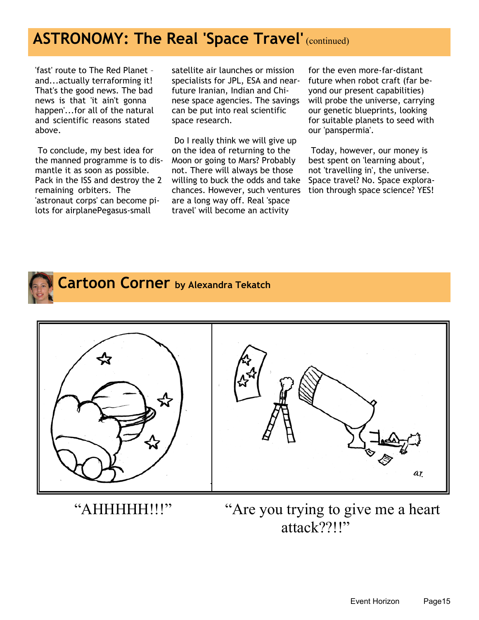## **ASTRONOMY: The Real 'Space Travel' (continued)**

'fast' route to The Red Planet – and...actually terraforming it! That's the good news. The bad news is that 'it ain't gonna happen'...for all of the natural and scientific reasons stated above.

 To conclude, my best idea for the manned programme is to dismantle it as soon as possible. Pack in the ISS and destroy the 2 remaining orbiters. The 'astronaut corps' can become pilots for airplanePegasus-small

satellite air launches or mission specialists for JPL, ESA and nearfuture Iranian, Indian and Chinese space agencies. The savings can be put into real scientific space research.

 Do I really think we will give up on the idea of returning to the Moon or going to Mars? Probably not. There will always be those willing to buck the odds and take chances. However, such ventures are a long way off. Real 'space travel' will become an activity

for the even more-far-distant future when robot craft (far beyond our present capabilities) will probe the universe, carrying our genetic blueprints, looking for suitable planets to seed with our 'panspermia'.

 Today, however, our money is best spent on 'learning about', not 'travelling in', the universe. Space travel? No. Space exploration through space science? YES!



 **Cartoon Corner by Alexandra Tekatch**





"AHHHHH!!!" "Are you trying to give me a heart" attack??!!"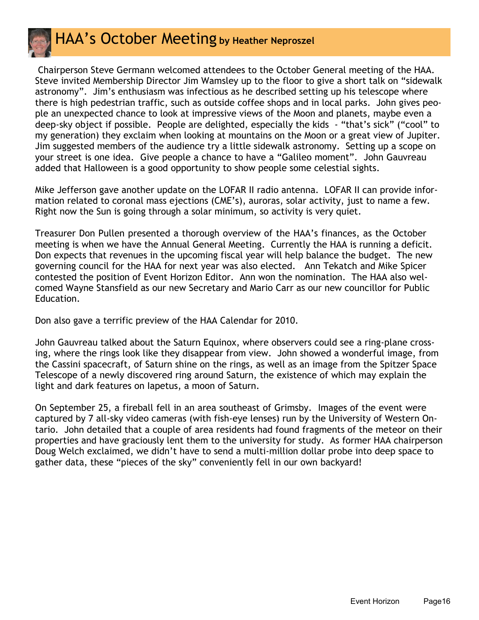

#### HAA's October Meeting **by Heather Neproszel**

 Chairperson Steve Germann welcomed attendees to the October General meeting of the HAA. Steve invited Membership Director Jim Wamsley up to the floor to give a short talk on "sidewalk astronomy". Jim's enthusiasm was infectious as he described setting up his telescope where there is high pedestrian traffic, such as outside coffee shops and in local parks. John gives people an unexpected chance to look at impressive views of the Moon and planets, maybe even a deep-sky object if possible. People are delighted, especially the kids - "that's sick" ("cool" to my generation) they exclaim when looking at mountains on the Moon or a great view of Jupiter. Jim suggested members of the audience try a little sidewalk astronomy. Setting up a scope on your street is one idea. Give people a chance to have a "Galileo moment". John Gauvreau added that Halloween is a good opportunity to show people some celestial sights.

Mike Jefferson gave another update on the LOFAR II radio antenna. LOFAR II can provide information related to coronal mass ejections (CME's), auroras, solar activity, just to name a few. Right now the Sun is going through a solar minimum, so activity is very quiet.

Treasurer Don Pullen presented a thorough overview of the HAA's finances, as the October meeting is when we have the Annual General Meeting. Currently the HAA is running a deficit. Don expects that revenues in the upcoming fiscal year will help balance the budget. The new governing council for the HAA for next year was also elected. Ann Tekatch and Mike Spicer contested the position of Event Horizon Editor. Ann won the nomination. The HAA also welcomed Wayne Stansfield as our new Secretary and Mario Carr as our new councillor for Public Education.

Don also gave a terrific preview of the HAA Calendar for 2010.

John Gauvreau talked about the Saturn Equinox, where observers could see a ring-plane crossing, where the rings look like they disappear from view. John showed a wonderful image, from the Cassini spacecraft, of Saturn shine on the rings, as well as an image from the Spitzer Space Telescope of a newly discovered ring around Saturn, the existence of which may explain the light and dark features on Iapetus, a moon of Saturn.

On September 25, a fireball fell in an area southeast of Grimsby. Images of the event were captured by 7 all-sky video cameras (with fish-eye lenses) run by the University of Western Ontario. John detailed that a couple of area residents had found fragments of the meteor on their properties and have graciously lent them to the university for study. As former HAA chairperson Doug Welch exclaimed, we didn't have to send a multi-million dollar probe into deep space to gather data, these "pieces of the sky" conveniently fell in our own backyard!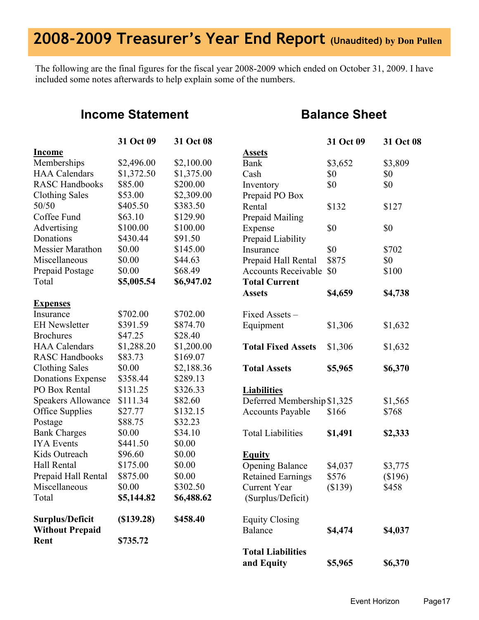# **2008-2009 Treasurer's Year End Report (Unaudited) by Don Pullen**

The following are the final figures for the fiscal year 2008-2009 which ended on October 31, 2009. I have included some notes afterwards to help explain some of the numbers.

#### **Income Statement**

#### **Balance Sheet**

|                           | 31 Oct 09  | 31 Oct 08  |                             | 31 Oct 09 | 31 Oct 08 |
|---------------------------|------------|------------|-----------------------------|-----------|-----------|
| <b>Income</b>             |            |            | <b>Assets</b>               |           |           |
| Memberships               | \$2,496.00 | \$2,100.00 | <b>Bank</b>                 | \$3,652   | \$3,809   |
| <b>HAA</b> Calendars      | \$1,372.50 | \$1,375.00 | Cash                        | \$0       | \$0       |
| <b>RASC Handbooks</b>     | \$85.00    | \$200.00   | Inventory                   | \$0       | \$0       |
| <b>Clothing Sales</b>     | \$53.00    | \$2,309.00 | Prepaid PO Box              |           |           |
| 50/50                     | \$405.50   | \$383.50   | Rental                      | \$132     | \$127     |
| Coffee Fund               | \$63.10    | \$129.90   | <b>Prepaid Mailing</b>      |           |           |
| Advertising               | \$100.00   | \$100.00   | Expense                     | \$0       | \$0       |
| Donations                 | \$430.44   | \$91.50    | Prepaid Liability           |           |           |
| <b>Messier Marathon</b>   | \$0.00     | \$145.00   | Insurance                   | \$0       | \$702     |
| Miscellaneous             | \$0.00     | \$44.63    | Prepaid Hall Rental         | \$875     | \$0       |
| Prepaid Postage           | \$0.00     | \$68.49    | <b>Accounts Receivable</b>  | \$0       | \$100     |
| Total                     | \$5,005.54 | \$6,947.02 | <b>Total Current</b>        |           |           |
|                           |            |            | <b>Assets</b>               | \$4,659   | \$4,738   |
| <b>Expenses</b>           |            |            |                             |           |           |
| Insurance                 | \$702.00   | \$702.00   | Fixed Assets-               |           |           |
| <b>EH</b> Newsletter      | \$391.59   | \$874.70   | Equipment                   | \$1,306   | \$1,632   |
| <b>Brochures</b>          | \$47.25    | \$28.40    |                             |           |           |
| <b>HAA</b> Calendars      | \$1,288.20 | \$1,200.00 | <b>Total Fixed Assets</b>   | \$1,306   | \$1,632   |
| <b>RASC Handbooks</b>     | \$83.73    | \$169.07   |                             |           |           |
| <b>Clothing Sales</b>     | \$0.00     | \$2,188.36 | <b>Total Assets</b>         | \$5,965   | \$6,370   |
| <b>Donations Expense</b>  | \$358.44   | \$289.13   |                             |           |           |
| PO Box Rental             | \$131.25   | \$326.33   | <b>Liabilities</b>          |           |           |
| <b>Speakers Allowance</b> | \$111.34   | \$82.60    | Deferred Membership \$1,325 |           | \$1,565   |
| Office Supplies           | \$27.77    | \$132.15   | <b>Accounts Payable</b>     | \$166     | \$768     |
| Postage                   | \$88.75    | \$32.23    |                             |           |           |
| <b>Bank Charges</b>       | \$0.00     | \$34.10    | <b>Total Liabilities</b>    | \$1,491   | \$2,333   |
| <b>IYA</b> Events         | \$441.50   | \$0.00     |                             |           |           |
| Kids Outreach             | \$96.60    | \$0.00     | <b>Equity</b>               |           |           |
| Hall Rental               | \$175.00   | \$0.00     | <b>Opening Balance</b>      | \$4,037   | \$3,775   |
| Prepaid Hall Rental       | \$875.00   | \$0.00     | <b>Retained Earnings</b>    | \$576     | \$196)    |
| Miscellaneous             | \$0.00     | \$302.50   | Current Year                | (\$139)   | \$458     |
| Total                     | \$5,144.82 | \$6,488.62 | (Surplus/Deficit)           |           |           |
| Surplus/Deficit           | (S139.28)  | \$458.40   | <b>Equity Closing</b>       |           |           |
| <b>Without Prepaid</b>    |            |            | Balance                     | \$4,474   | \$4,037   |
| Rent                      | \$735.72   |            |                             |           |           |
|                           |            |            | <b>Total Liabilities</b>    |           |           |
|                           |            |            | and Equity                  | \$5,965   | \$6,370   |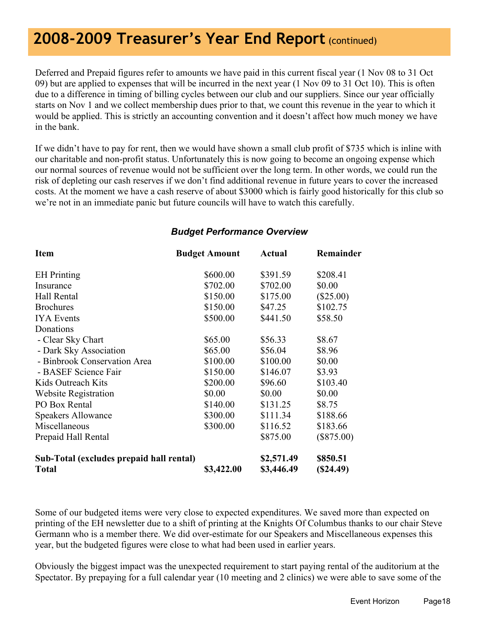## **2008-2009 Treasurer's Year End Report** (continued)

Deferred and Prepaid figures refer to amounts we have paid in this current fiscal year (1 Nov 08 to 31 Oct 09) but are applied to expenses that will be incurred in the next year (1 Nov 09 to 31 Oct 10). This is often due to a difference in timing of billing cycles between our club and our suppliers. Since our year officially starts on Nov 1 and we collect membership dues prior to that, we count this revenue in the year to which it would be applied. This is strictly an accounting convention and it doesn't affect how much money we have in the bank.

If we didn't have to pay for rent, then we would have shown a small club profit of \$735 which is inline with our charitable and non-profit status. Unfortunately this is now going to become an ongoing expense which our normal sources of revenue would not be sufficient over the long term. In other words, we could run the risk of depleting our cash reserves if we don't find additional revenue in future years to cover the increased costs. At the moment we have a cash reserve of about \$3000 which is fairly good historically for this club so we're not in an immediate panic but future councils will have to watch this carefully.

#### *Budget Performance Overview*

| <b>Item</b>                                              | <b>Budget Amount</b> | Actual                   | Remainder            |
|----------------------------------------------------------|----------------------|--------------------------|----------------------|
| <b>EH</b> Printing                                       | \$600.00             | \$391.59                 | \$208.41             |
| Insurance                                                | \$702.00             | \$702.00                 | \$0.00               |
| Hall Rental                                              | \$150.00             | \$175.00                 | $(\$25.00)$          |
| <b>Brochures</b>                                         | \$150.00             | \$47.25                  | \$102.75             |
| <b>IYA</b> Events                                        | \$500.00             | \$441.50                 | \$58.50              |
| Donations                                                |                      |                          |                      |
| - Clear Sky Chart                                        | \$65.00              | \$56.33                  | \$8.67               |
| - Dark Sky Association                                   | \$65.00              | \$56.04                  | \$8.96               |
| - Binbrook Conservation Area                             | \$100.00             | \$100.00                 | \$0.00               |
| - BASEF Science Fair                                     | \$150.00             | \$146.07                 | \$3.93               |
| Kids Outreach Kits                                       | \$200.00             | \$96.60                  | \$103.40             |
| <b>Website Registration</b>                              | \$0.00               | \$0.00                   | \$0.00               |
| PO Box Rental                                            | \$140.00             | \$131.25                 | \$8.75               |
| <b>Speakers Allowance</b>                                | \$300.00             | \$111.34                 | \$188.66             |
| Miscellaneous                                            | \$300.00             | \$116.52                 | \$183.66             |
| Prepaid Hall Rental                                      |                      | \$875.00                 | $(\$875.00)$         |
| Sub-Total (excludes prepaid hall rental)<br><b>Total</b> | \$3,422.00           | \$2,571.49<br>\$3,446.49 | \$850.51<br>(S24.49) |

Some of our budgeted items were very close to expected expenditures. We saved more than expected on printing of the EH newsletter due to a shift of printing at the Knights Of Columbus thanks to our chair Steve Germann who is a member there. We did over-estimate for our Speakers and Miscellaneous expenses this year, but the budgeted figures were close to what had been used in earlier years.

Obviously the biggest impact was the unexpected requirement to start paying rental of the auditorium at the Spectator. By prepaying for a full calendar year (10 meeting and 2 clinics) we were able to save some of the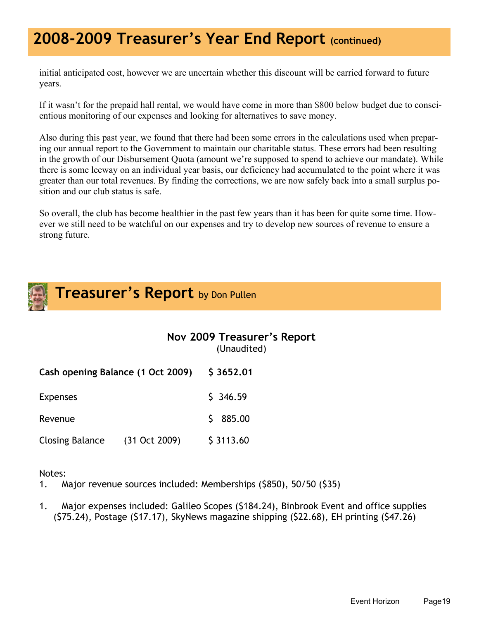## **2008-2009 Treasurer's Year End Report (continued)**

initial anticipated cost, however we are uncertain whether this discount will be carried forward to future years.

If it wasn't for the prepaid hall rental, we would have come in more than \$800 below budget due to conscientious monitoring of our expenses and looking for alternatives to save money.

Also during this past year, we found that there had been some errors in the calculations used when preparing our annual report to the Government to maintain our charitable status. These errors had been resulting in the growth of our Disbursement Quota (amount we're supposed to spend to achieve our mandate). While there is some leeway on an individual year basis, our deficiency had accumulated to the point where it was greater than our total revenues. By finding the corrections, we are now safely back into a small surplus position and our club status is safe.

So overall, the club has become healthier in the past few years than it has been for quite some time. However we still need to be watchful on our expenses and try to develop new sources of revenue to ensure a strong future.



**Treasurer's Report** by Don Pullen

|                                   |                 | Nov 2009 Treasurer's Report<br>(Unaudited) |
|-----------------------------------|-----------------|--------------------------------------------|
| Cash opening Balance (1 Oct 2009) |                 | \$3652.01                                  |
| <b>Expenses</b>                   |                 | \$346.59                                   |
| Revenue                           |                 | 885.00<br>S                                |
| <b>Closing Balance</b>            | $(31$ Oct 2009) | \$3113.60                                  |

Notes:

1. Major revenue sources included: Memberships (\$850), 50/50 (\$35)

1. Major expenses included: Galileo Scopes (\$184.24), Binbrook Event and office supplies (\$75.24), Postage (\$17.17), SkyNews magazine shipping (\$22.68), EH printing (\$47.26)